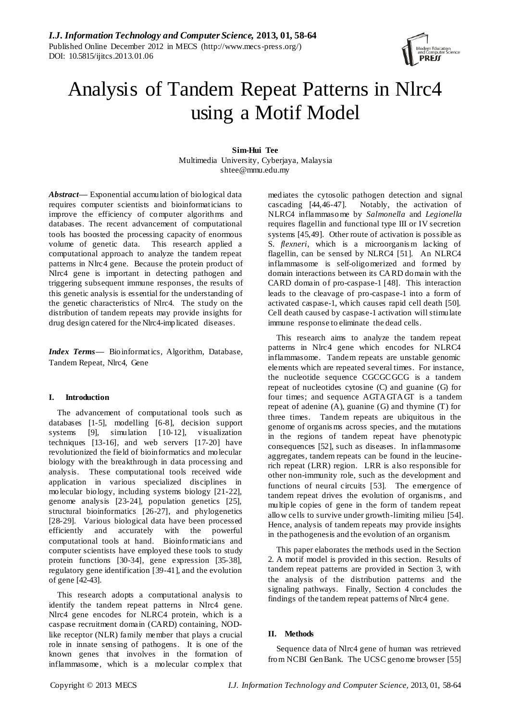

# Analysis of Tandem Repeat Patterns in Nlrc4 using a Motif Model

**Sim-Hui Tee** Multimedia University, Cyberjaya, Malaysia shtee@mmu.edu.my

*Abstract***—** Exponential accumulation of biological data requires computer scientists and bioinformaticians to improve the efficiency of computer algorithms and databases. The recent advancement of computational tools has boosted the processing capacity of enormous volume of genetic data. This research applied a computational approach to analyze the tandem repeat patterns in Nlrc4 gene. Because the protein product of Nlrc4 gene is important in detecting pathogen and triggering subsequent immune responses, the results of this genetic analysis is essential for the understanding of the genetic characteristics of Nlrc4. The study on the distribution of tandem repeats may provide insights for drug design catered for the Nlrc4-implicated diseases.

*Index Terms***—** Bioinformatics, Algorithm, Database, Tandem Repeat, Nlrc4, Gene

## **I. Introduction**

The advancement of computational tools such as databases [1-5], modelling [6-8], decision support systems [9], simulation [10-12], visualization techniques [13-16], and web servers [17-20] have revolutionized the field of bioinformatics and molecular biology with the breakthrough in data processing and analysis. These computational tools received wide application in various specialized disciplines in molecular biology, including systems biology [21-22], genome analysis [23-24], population genetics [25], structural bioinformatics [26-27], and phylogenetics [28-29]. Various biological data have been processed efficiently and accurately with the powerful computational tools at hand. Bioinformaticians and computer scientists have employed these tools to study protein functions [30-34], gene expression [35-38], regulatory gene identification [39-41], and the evolution of gene [42-43].

This research adopts a computational analysis to identify the tandem repeat patterns in Nlrc4 gene. Nlrc4 gene encodes for NLRC4 protein, which is a caspase recruitment domain (CARD) containing, NODlike receptor (NLR) family member that plays a crucial role in innate sensing of pathogens. It is one of the known genes that involves in the formation of inflammasome, which is a molecular complex that

mediates the cytosolic pathogen detection and signal cascading [44,46-47]. Notably, the activation of NLRC4 inflammasome by *Salmonella* and *Legionella* requires flagellin and functional type III or IV secretion systems [45,49]. Other route of activation is possible as S. *flexneri*, which is a microorganism lacking of flagellin, can be sensed by NLRC4 [51]. An NLRC4 inflammasome is self-oligomerized and formed by domain interactions between its CARD domain with the CARD domain of pro-caspase-1 [48]. This interaction leads to the cleavage of pro-caspase-1 into a form of activated caspase-1, which causes rapid cell death [50]. Cell death caused by caspase-1 activation will stimulate immune response to eliminate the dead cells.

This research aims to analyze the tandem repeat patterns in Nlrc4 gene which encodes for NLRC4 inflammasome. Tandem repeats are unstable genomic elements which are repeated several times. For instance, the nucleotide sequence CGCGCGCG is a tandem repeat of nucleotides cytosine (C) and guanine (G) for four times; and sequence AGTAGTAGT is a tandem repeat of adenine (A), guanine (G) and thymine (T) for three times. Tandem repeats are ubiquitous in the genome of organis ms across species, and the mutations in the regions of tandem repeat have phenotypic consequences [52], such as diseases. In inflammasome aggregates, tandem repeats can be found in the leucinerich repeat (LRR) region. LRR is also responsible for other non-immunity role, such as the development and functions of neural circuits [53]. The emergence of tandem repeat drives the evolution of organisms, and multiple copies of gene in the form of tandem repeat allow cells to survive under growth-limiting milieu [54]. Hence, analysis of tandem repeats may provide insights in the pathogenesis and the evolution of an organism.

This paper elaborates the methods used in the Section 2. A motif model is provided in this section. Results of tandem repeat patterns are provided in Section 3, with the analysis of the distribution patterns and the signaling pathways. Finally, Section 4 concludes the findings of the tandem repeat patterns of Nlrc4 gene.

## **II. Methods**

Sequence data of Nlrc4 gene of human was retrieved from NCBI GenBank. The UCSC genome browser [55]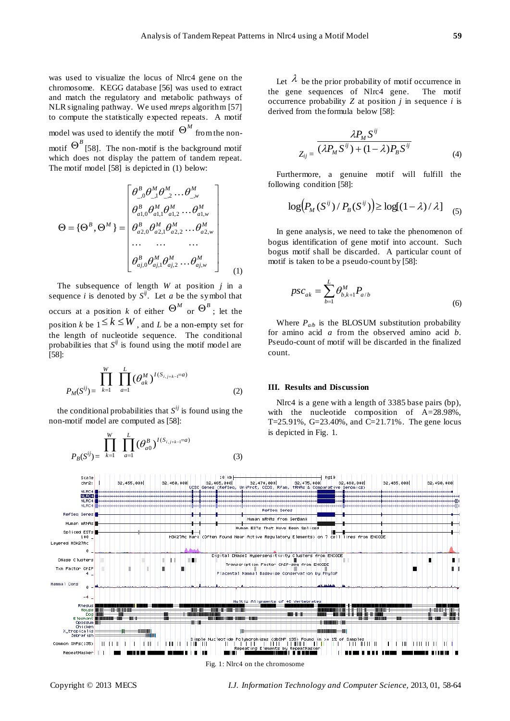was used to visualize the locus of Nlrc4 gene on the chromosome. KEGG database [56] was used to extract and match the regulatory and metabolic pathways of NLR signaling pathway. We used *mreps* algorithm [57] to compute the statistically expected repeats. A motif model was used to identify the motif  $\, \Theta^{M} \,$  from the nonmotif  $\Theta^B$  [58]. The non-motif is the background motif which does not display the pattern of tandem repeat. The motif model [58] is depicted in (1) below:

$$
\Theta = \{\Theta^{B}, \Theta^{M}\} = \begin{bmatrix} \theta_{-0}^{B} \theta_{-1}^{M} \theta_{-2}^{M} \dots \theta_{-N}^{M} \\ \theta_{a1,0}^{B} \theta_{a1,1}^{M} \theta_{a1,2}^{M} \dots \theta_{a1,w}^{M} \\ \theta_{a2,0}^{B} \theta_{a2,1}^{M} \theta_{a2,2}^{M} \dots \theta_{a2,w}^{M} \\ \dots & \dots & \dots \\ \theta_{a j,0}^{B} \theta_{a j,1}^{M} \theta_{a j,2}^{M} \dots \theta_{a j,w}^{M} \end{bmatrix}
$$
 (1)

The subsequence of length *W* at position *j* in a sequence *i* is denoted by  $S^{ij}$ . Let *a* be the symbol that occurs at a position *k* of either  $\Theta^M$  or  $\Theta^B$ ; let the position *k* be  $1 \leq k \leq W$ , and *L* be a non-empty set for the length of nucleotide sequence. The conditional probabilities that  $S^{\ddot{y}}$  is found using the motif model are [58]:

$$
P_M(S^{ij}) = \prod_{k=1}^W \prod_{a=1}^L (\theta_{ak}^M)^{I(S_{i,j+k-1}=a)}
$$
(2)

the conditional probabilities that  $S^{ij}$  is found using the non-motif model are computed as [58]:

> $P_B(S^{ij}) = \overline{k-1}$  $\prod_{k=1}^{W}\;\prod_{a=1}^{L}\left(\theta^B_{a0}\right)^{I\left(S_{i,j+k-1}=\emptyset\right)}$ *a*  $B \setminus I(S_{i,j+k-1}=a)$ *a*  $\prod_{i=1}^W \left( \bigcap_{i=1}^L A_i^B \right)^{I(S_{i,j+k})}$ 1  $(S_{i,j+k-1}=a)$  $(\theta^{\textit{B}}_{a0})^{\textit{1}(S_{i,j+k-1})}$ (3)

Let  $\lambda$  be the prior probability of motif occurrence in the gene sequences of Nlrc4 gene. The motif occurrence probability  $Z$  at position  $j$  in sequence  $i$  is derived from the formula below [58]:

$$
Z_{ij} = \frac{\lambda P_M S^{ij}}{(\lambda P_M S^{ij}) + (1 - \lambda) P_B S^{ij}}
$$
(4)

Furthermore, a genuine motif will fulfill the following condition [58]:

$$
\log(P_M(S^{ij})/P_B(S^{ij})) \ge \log[(1-\lambda)/\lambda] \quad (5)
$$

In gene analysis, we need to take the phenomenon of bogus identification of gene motif into account. Such bogus motif shall be discarded. A particular count of motif is taken to be a pseudo-count by [58]:

$$
psc_{ak} = \sum_{b=1}^{L} \theta_{b,k+1}^{M} P_{a/b}
$$
 (6)

Where  $P_{a/b}$  is the BLOSUM substitution probability for amino acid *a* from the observed amino acid *b*. Pseudo-count of motif will be discarded in the finalized count.

## **III. Results and Discussion**

Nlrc4 is a gene with a length of 3385 base pairs (bp), with the nucleotide composition of A=28.98%, T=25.91%, G=23.40%, and C=21.71%. The gene locus is depicted in Fig. 1.



Fig. 1: Nlrc4 on the chromosome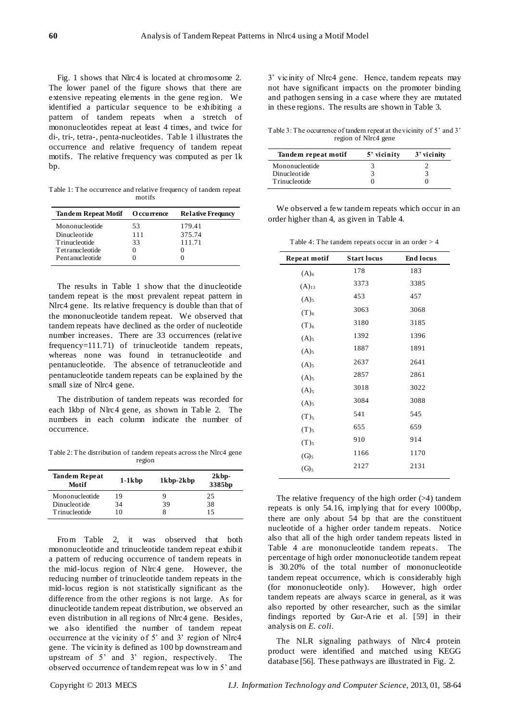Fig. 1 shows that Nlrc4 is located at chromosome 2. The lower panel of the figure shows that there are extensive repeating elements in the gene region. We identified a particular sequence to be exhibiting a pattern of tandem repeats when a stretch of mononucleotides repeat at least 4 times, and twice for di-, tri-, tetra-, penta-nucleotides. Table 1 illustrates the occurrence and relative frequency of tandem repeat motifs. The relative frequency was computed as per 1k bp.

Table 1: The occurrence and relative frequency of tandem repeat motifs

| <b>Tandem Repeat Motif</b> | <b>O</b> ccurrence | <b>Relative Frequiev</b> |
|----------------------------|--------------------|--------------------------|
| Mononucleotide             | 53                 | 179.41                   |
| Dinucleotide               | 111                | 375.74                   |
| <b>Trinucleotide</b>       | 33                 | 111.71                   |
| Tetranucleotide            |                    | 0                        |
| Pentanucleotide            |                    | 0                        |

The results in Table 1 show that the dinucleotide tandem repeat is the most prevalent repeat pattern in Nlrc4 gene. Its relative frequency is double than that of the mononucleotide tandem repeat. We observed that tandem repeats have declined as the order of nucleotide number increases. There are 33 occurrences (relative frequency=111.71) of trinucleotide tandem repeats, whereas none was found in tetranucleotide and pentanucleotide. The absence of tetranucleotide and pentanucleotide tandem repeats can be explained by the small size of Nlrc4 gene.

The distribution of tandem repeats was recorded for each 1kbp of Nlrc4 gene, as shown in Table 2. The numbers in each column indicate the number of occurrence.

Table 2: The distribution of tandem repeats across the Nlrc4 gene region

| <b>Tandem Repeat</b><br>Motif | $1-1kbp$ | $1kbp-2kbp$ | $2kbp-$<br>3385 <sub>bp</sub> |
|-------------------------------|----------|-------------|-------------------------------|
| Mononucleotide                | 19       | g           | 25                            |
| Dinucleotide                  | 34       | 39          | 38                            |
| Trinucleotide                 |          |             | 15                            |

From Table 2, it was observed that both mononucleotide and trinucleotide tandem repeat exhibit a pattern of reducing occurrence of tandem repeats in the mid-locus region of Nlrc4 gene. However, the reducing number of trinucleotide tandem repeats in the mid-locus region is not statistically significant as the difference from the other regions is not large. As for dinucleotide tandem repeat distribution, we observed an even distribution in all regions of Nlrc4 gene. Besides, we also identified the number of tandem repeat occurrence at the vicinity of 5' and 3' region of Nlrc4 gene. The vicinity is defined as 100 bp downstream and upstream of 5' and 3' region, respectively. The observed occurrence of tandem repeat was low in 5' and

3' vicinity of Nlrc4 gene. Hence, tandem repeats may not have significant impacts on the promoter binding and pathogen sensing in a case where they are mutated in these regions. The results are shown in Table 3.

Table 3: The occurrence of tandem repeat at the vicinity of 5' and 3' region of Nlrc4 gene

| Tandem repeat motif | 5' vicinity | 3' vicinity |
|---------------------|-------------|-------------|
| Mononucleotide      |             |             |
| Dinucleotide        |             |             |
| Trinucleotide       |             |             |

We observed a few tandem repeats which occur in an order higher than 4, as given in Table 4.

Table 4: The tandem repeats occur in an order  $> 4$ 

| <b>Repeat motif</b> | <b>Start locus</b> | <b>End locus</b> |
|---------------------|--------------------|------------------|
| $(A)_6$             | 178                | 183              |
| $(A)_{13}$          | 3373               | 3385             |
| $(A)$ <sub>5</sub>  | 453                | 457              |
| $(T)_{6}$           | 3063               | 3068             |
| $(T)_{6}$           | 3180               | 3185             |
| $(A)$ <sub>5</sub>  | 1392               | 1396             |
| $(A)$ <sub>5</sub>  | 1887               | 1891             |
| $(A)$ <sub>5</sub>  | 2637               | 2641             |
| $(A)$ <sub>5</sub>  | 2857               | 2861             |
| $(A)$ <sub>5</sub>  | 3018               | 3022             |
| $(A)$ <sub>5</sub>  | 3084               | 3088             |
| $(T)$ <sub>5</sub>  | 541                | 545              |
| $(T)_5$             | 655                | 659              |
| $(T)$ <sub>5</sub>  | 910                | 914              |
| $(G)$ <sub>5</sub>  | 1166               | 1170             |
| $(G)$ <sub>5</sub>  | 2127               | 2131             |

The relative frequency of the high order  $(>4)$  tandem repeats is only 54.16, implying that for every 1000bp, there are only about 54 bp that are the constituent nucleotide of a higher order tandem repeats. Notice also that all of the high order tandem repeats listed in Table 4 are mononucleotide tandem repeats. The percentage of high order mononucleotide tandem repeat is 30.20% of the total number of mononucleotide tandem repeat occurrence, which is considerably high (for mononucleotide only). However, high order tandem repeats are always scarce in general, as it was also reported by other researcher, such as the similar findings reported by Gur-Arie et al. [59] in their analysis on *E. coli*.

The NLR signaling pathways of Nlrc4 protein product were identified and matched using KEGG database [56]. These pathways are illustrated in Fig. 2.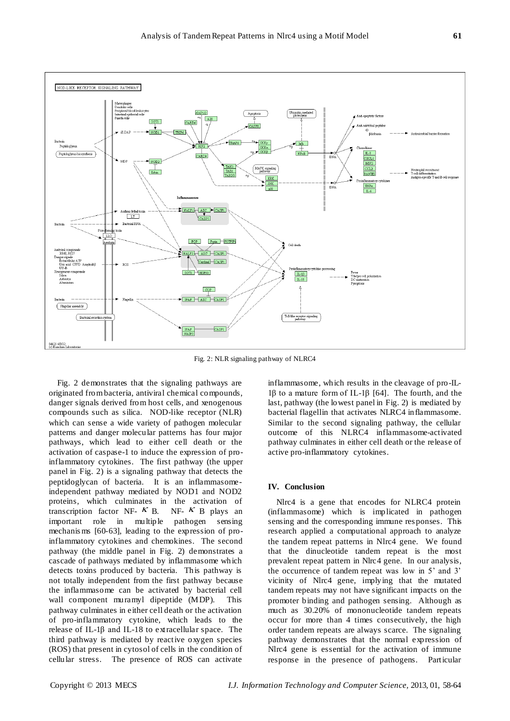

Fig. 2: NLR signaling pathway of NLRC4

Fig. 2 demonstrates that the signaling pathways are originated from bacteria, antiviral chemical compounds, danger signals derived from host cells, and xenogenous compounds such as silica. NOD-like receptor (NLR) which can sense a wide variety of pathogen molecular patterns and danger molecular patterns has four major pathways, which lead to either cell death or the activation of caspase-1 to induce the expression of proinflammatory cytokines. The first pathway (the upper panel in Fig. 2) is a signaling pathway that detects the peptidoglycan of bacteria. It is an inflammasomeindependent pathway mediated by NOD1 and NOD2 proteins, which culminates in the activation of transcription factor NF-  $K$  B. NF-  $K$  B plays an important role in multiple pathogen sensing mechanis ms [60-63], leading to the expression of proinflammatory cytokines and chemokines. The second pathway (the middle panel in Fig. 2) demonstrates a cascade of pathways mediated by inflammasome which detects toxins produced by bacteria. This pathway is not totally independent from the first pathway because the inflammasome can be activated by bacterial cell wall component muramyl dipeptide (MDP). This pathway culminates in either cell death or the activation of pro-inflammatory cytokine, which leads to the release of IL-1β and IL-18 to extracellular space. The third pathway is mediated by reactive oxygen species (ROS) that present in cytosol of cells in the condition of cellular stress. The presence of ROS can activate

inflammasome, which results in the cleavage of pro-IL-1β to a mature form of IL-1β [64]. The fourth, and the last, pathway (the lowest panel in Fig. 2) is mediated by bacterial flagellin that activates NLRC4 inflammasome. Similar to the second signaling pathway, the cellular outcome of this NLRC4 inflammasome-activated pathway culminates in either cell death or the release of active pro-inflammatory cytokines.

#### **IV. Conclusion**

Nlrc4 is a gene that encodes for NLRC4 protein (inflammasome) which is implicated in pathogen sensing and the corresponding immune responses. This research applied a computational approach to analyze the tandem repeat patterns in Nlrc4 gene. We found that the dinucleotide tandem repeat is the most prevalent repeat pattern in Nlrc4 gene. In our analysis, the occurrence of tandem repeat was low in 5' and 3' vicinity of Nlrc4 gene, implying that the mutated tandem repeats may not have significant impacts on the promoter binding and pathogen sensing. Although as much as 30.20% of mononucleotide tandem repeats occur for more than 4 times consecutively, the high order tandem repeats are always scarce. The signaling pathway demonstrates that the normal expression of Nlrc4 gene is essential for the activation of immune response in the presence of pathogens. Particular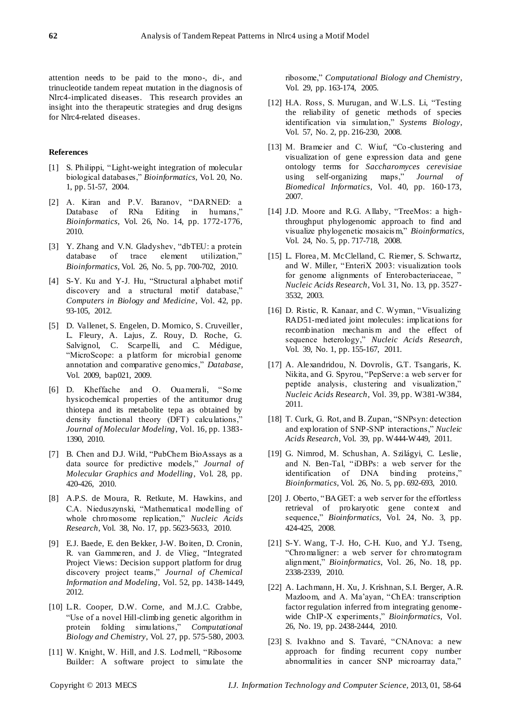attention needs to be paid to the mono-, di-, and trinucleotide tandem repeat mutation in the diagnosis of Nlrc4-implicated diseases. This research provides an insight into the therapeutic strategies and drug designs for Nlrc4-related diseases.

#### **References**

- [1] S. Philippi, "Light-weight integration of molecular biological databases," *Bioinformatics*, Vol. 20, No. 1, pp. 51-57, 2004.
- [2] A. Kiran and P.V. Baranov, "DARNED: a Database of RNa Editing in humans," *Bioinformatics*, Vol. 26, No. 14, pp. 1772-1776, 2010.
- [3] Y. Zhang and V.N. Gladyshev, "dbTEU: a protein database of trace element utilization," *Bioinformatics*, Vol. 26, No. 5, pp. 700-702, 2010.
- [4] S-Y. Ku and Y-J. Hu, "Structural alphabet motif discovery and a structural motif database," *Computers in Biology and Medicine*, Vol. 42, pp. 93-105, 2012.
- [5] D. Vallenet, S. Engelen, D. Mornico, S. Cruveiller, L. Fleury, A. Lajus, Z. Rouy, D. Roche, G. Salvignol, C. Scarpelli, and C. Médigue, "MicroScope: a platform for microbial genome annotation and comparative genomics," *Database*, Vol. 2009, bap021, 2009.
- [6] D. Kheffache and O. Ouamerali, "Some hysicochemical properties of the antitumor drug thiotepa and its metabolite tepa as obtained by density functional theory (DFT) calculations," *Journal of Molecular Modeling*, Vol. 16, pp. 1383- 1390, 2010.
- [7] B. Chen and D.J. Wild, "PubChem BioAssays as a data source for predictive models," *Journal of Molecular Graphics and Modelling*, Vol. 28, pp. 420-426, 2010.
- [8] A.P.S. de Moura, R. Retkute, M. Hawkins, and C.A. Nieduszynski, "Mathematical modelling of whole chromosome replication," *Nucleic Acids Research*, Vol. 38, No. 17, pp. 5623-5633, 2010.
- [9] E.J. Baede, E. den Bekker, J-W. Boiten, D. Cronin, R. van Gammeren, and J. de Vlieg, "Integrated Project Views: Decision support platform for drug discovery project teams," *Journal of Chemical Information and Modeling*, Vol. 52, pp. 1438-1449, 2012.
- [10] L.R. Cooper, D.W. Corne, and M.J.C. Crabbe, "Use of a novel Hill-climbing genetic algorithm in protein folding simulations," *Computational Biology and Chemistry*, Vol. 27, pp. 575-580, 2003.
- [11] W. Knight, W. Hill, and J.S. Lodmell, "Ribosome Builder: A software project to simulate the

ribosome," *Computational Biology and Chemistry*, Vol. 29, pp. 163-174, 2005.

- [12] H.A. Ross, S. Murugan, and W.L.S. Li, "Testing the reliability of genetic methods of species identification via simulation," *Systems Biology*, Vol. 57, No. 2, pp. 216-230, 2008.
- [13] M. Brameier and C. Wiuf, "Co-clustering and visualization of gene expression data and gene ontology terms for *Saccharomyces cerevisiae* using self-organizing maps," *Journal of Biomedical Informatics*, Vol. 40, pp. 160-173, 2007.
- [14] J.D. Moore and R.G. Allaby, "TreeMos: a highthroughput phylogenomic approach to find and visualize phylogenetic mosaicis m," *Bioinformatics*, Vol. 24, No. 5, pp. 717-718, 2008.
- [15] L. Florea, M. McClelland, C. Riemer, S. Schwartz, and W. Miller, "EnteriX 2003: visualization tools for genome alignments of Enterobacteriaceae, " *Nucleic Acids Research*, Vol. 31, No. 13, pp. 3527- 3532, 2003.
- [16] D. Ristic, R. Kanaar, and C. Wyman, "Visualizing RAD51-mediated joint molecules: implications for recombination mechanis m and the effect of sequence heterology," *Nucleic Acids Research*, Vol. 39, No. 1, pp. 155-167, 2011.
- [17] A. Alexandridou, N. Dovrolis, G.T. Tsangaris, K. Nikita, and G. Spyrou, "PepServe: a web server for peptide analysis, clustering and visualization," *Nucleic Acids Research*, Vol. 39, pp. W381-W384, 2011.
- [18] T. Curk, G. Rot, and B. Zupan, "SNPsyn: detection and exploration of SNP-SNP interactions," *Nucleic Acids Research*, Vol. 39, pp. W444-W449, 2011.
- [19] G. Nimrod, M. Schushan, A. Szilágyi, C. Leslie, and N. Ben-Tal, "iDBPs: a web server for the identification of DNA binding proteins," *Bioinformatics*, Vol. 26, No. 5, pp. 692-693, 2010.
- [20] J. Oberto, "BAGET: a web server for the effortless retrieval of prokaryotic gene context and sequence," *Bioinformatics*, Vol. 24, No. 3, pp. 424-425, 2008.
- [21] S-Y. Wang, T-J. Ho, C-H. Kuo, and Y.J. Tseng, "Chromaligner: a web server for chromatogram alignment," *Bioinformatics*, Vol. 26, No. 18, pp. 2338-2339, 2010.
- [22] A. Lachmann, H. Xu, J. Krishnan, S.I. Berger, A.R. Mazloom, and A. Ma'ayan, "ChEA: transcription factor regulation inferred from integrating genomewide ChIP-X experiments," *Bioinformatics*, Vol. 26, No. 19, pp. 2438-2444, 2010.
- [23] S. Ivakhno and S. Tavaré, "CNAnova: a new approach for finding recurrent copy number abnormalities in cancer SNP microarray data,"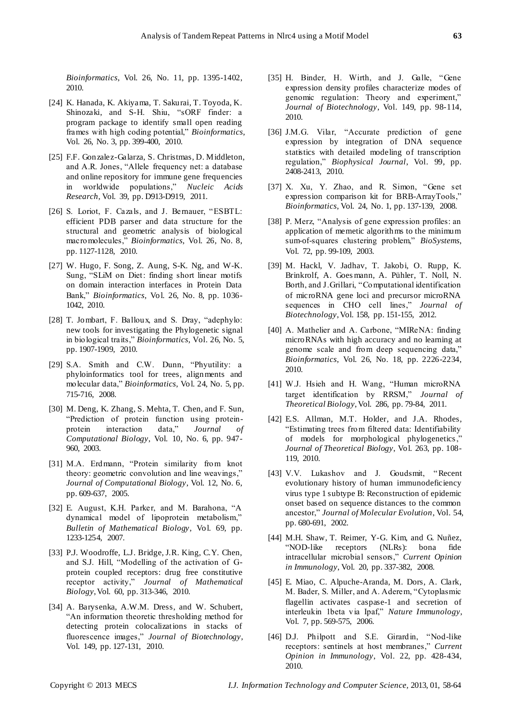*Bioinformatics*, Vol. 26, No. 11, pp. 1395-1402, 2010.

- [24] K. Hanada, K. Akiyama, T. Sakurai, T. Toyoda, K. Shinozaki, and S-H. Shiu, "sORF finder: a program package to identify small open reading frames with high coding potential," *Bioinformatics*, Vol. 26, No. 3, pp. 399-400, 2010.
- [25] F.F. Gonzalez-Galarza, S. Christmas, D. Middleton, and A.R. Jones, "Allele frequency net: a database and online repository for immune gene frequencies in worldwide populations," *Nucleic Acids Research*, Vol. 39, pp. D913-D919, 2011.
- [26] S. Loriot, F. Cazals, and J. Bernauer, "ESBTL: efficient PDB parser and data structure for the structural and geometric analysis of biological macromolecules," *Bioinformatics*, Vol. 26, No. 8, pp. 1127-1128, 2010.
- [27] W. Hugo, F. Song, Z. Aung, S-K. Ng, and W-K. Sung, "SLiM on Diet: finding short linear motifs on domain interaction interfaces in Protein Data Bank," *Bioinformatics*, Vol. 26, No. 8, pp. 1036- 1042, 2010.
- [28] T. Jombart, F. Balloux, and S. Dray, "adephylo: new tools for investigating the Phylogenetic signal in biological traits," *Bioinformatics*, Vol. 26, No. 5, pp. 1907-1909, 2010.
- [29] S.A. Smith and C.W. Dunn, "Phyutility: a phyloinformatics tool for trees, alignments and molecular data," *Bioinformatics*, Vol. 24, No. 5, pp. 715-716, 2008.
- [30] M. Deng, K. Zhang, S. Mehta, T. Chen, and F. Sun, "Prediction of protein function using proteinprotein interaction data," *Journal of Computational Biology*, Vol. 10, No. 6, pp. 947- 960, 2003.
- [31] M.A. Erdmann, "Protein similarity from knot theory: geometric convolution and line weavings," *Journal of Computational Biology*, Vol. 12, No. 6, pp. 609-637, 2005.
- [32] E. August, K.H. Parker, and M. Barahona, "A dynamical model of lipoprotein metabolism," *Bulletin of Mathematical Biology*, Vol. 69, pp. 1233-1254, 2007.
- [33] P.J. Woodroffe, L.J. Bridge, J.R. King, C.Y. Chen, and S.J. Hill, "Modelling of the activation of Gprotein coupled receptors: drug free constitutive receptor activity," *Journal of Mathematical Biology*, Vol. 60, pp. 313-346, 2010.
- [34] A. Barysenka, A.W.M. Dress, and W. Schubert, "An information theoretic thresholding method for detecting protein colocalizations in stacks of fluorescence images," *Journal of Biotechnology*, Vol. 149, pp. 127-131, 2010.
- [35] H. Binder, H. Wirth, and J. Galle, "Gene expression density profiles characterize modes of genomic regulation: Theory and experiment," *Journal of Biotechnology*, Vol. 149, pp. 98-114, 2010.
- [36] J.M.G. Vilar, "Accurate prediction of gene expression by integration of DNA sequence statistics with detailed modeling of transcription regulation," *Biophysical Journal*, Vol. 99, pp. 2408-2413, 2010.
- [37] X. Xu, Y. Zhao, and R. Simon, "Gene set expression comparison kit for BRB-ArrayTools," *Bioinformatics*, Vol. 24, No. 1, pp. 137-139, 2008.
- [38] P. Merz, "Analysis of gene expression profiles: an application of memetic algorithms to the minimum sum-of-squares clustering problem," *BioSystems*, Vol. 72, pp. 99-109, 2003.
- [39] M. Hackl, V. Jadhav, T. Jakobi, O. Rupp, K. Brinkrolf, A. Goes mann, A. Pühler, T. Noll, N. Borth, and J.Grillari, "Computational identification of microRNA gene loci and precursor microRNA sequences in CHO cell lines," *Journal of Biotechnology*, Vol. 158, pp. 151-155, 2012.
- [40] A. Mathelier and A. Carbone, "MIReNA: finding microRNAs with high accuracy and no learning at genome scale and from deep sequencing data," *Bioinformatics*, Vol. 26, No. 18, pp. 2226-2234, 2010.
- [41] W.J. Hsieh and H. Wang, "Human microRNA target identification by RRSM," *Journal of Theoretical Biology*, Vol. 286, pp. 79-84, 2011.
- [42] E.S. Allman, M.T. Holder, and J.A. Rhodes, "Estimating trees from filtered data: Identifiability of models for morphological phylogenetics," *Journal of Theoretical Biology*, Vol. 263, pp. 108- 119, 2010.
- [43] V.V. Lukashov and J. Goudsmit, "Recent evolutionary history of human immunodeficiency virus type 1 subtype B: Reconstruction of epidemic onset based on sequence distances to the common ancestor," *Journal of Molecular Evolution*, Vol. 54, pp. 680-691, 2002.
- [44] M.H. Shaw, T. Reimer, Y-G. Kim, and G. Nuñez, "NOD-like receptors (NLRs): bona fide intracellular microbial sensors," *Current Opinion in Immunology*, Vol. 20, pp. 337-382, 2008.
- [45] E. Miao, C. Alpuche-Aranda, M. Dors, A. Clark, M. Bader, S. Miller, and A. Aderem, "Cytoplasmic flagellin activates caspase-1 and secretion of interleukin 1beta via Ipaf," *Nature Immunology*, Vol. 7, pp. 569-575, 2006.
- [46] D.J. Philpott and S.E. Girardin, "Nod-like receptors: sentinels at host membranes," *Current Opinion in Immunology*, Vol. 22, pp. 428-434, 2010.